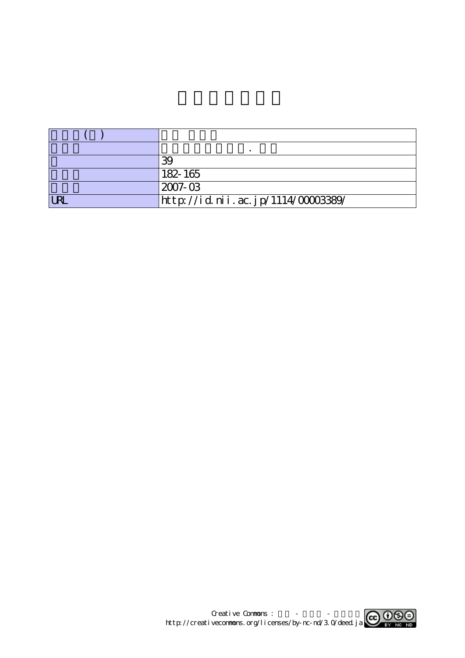|            | Ŗ                                  |
|------------|------------------------------------|
|            | $182 - 165$                        |
|            | $2007 - 03$                        |
| <b>URL</b> | http://id.nii.ac.jp/1114/00003389/ |

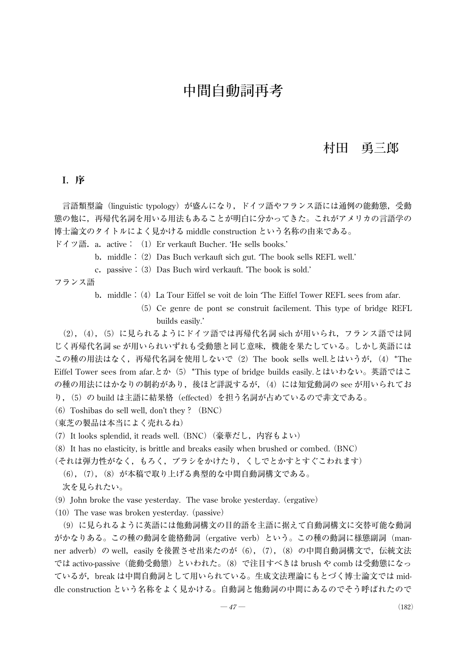## **村田 勇三郎**

## I.序

言語類型論(linguistic typology)が盛んになり,ドイツ語やフランス語には通例の能動態,受動 態の他に,再帰代名詞を用いる用法もあることが明白に分かってきた。これがアメリカの言語学の 博士論文のタイトルによく見かける middle construction という名称の由来である。

ドイツ語. a. active: (1) Er verkauft Bucher. 'He sells books.'

- b. middle: (2) Das Buch verkauft sich gut. The book sells REFL well.'
- c.passive:(3)Das Buch wird verkauft. 'The book is sold.'

フランス語

- b. middle: (4) La Tour Eiffel se voit de loin 'The Eiffel Tower REFL sees from afar.
	- (5)Ce genre de pont se construit facilement. This type of bridge REFL builds easily.'

(2),(4),(5)に見られるようにドイツ語では再帰代名詞 sich が用いられ,フランス語では同 じく再帰代名詞 se が用いられいずれも受動態と同じ意味,機能を果たしている。しかし英語には この種の用法はなく,再帰代名詞を使用しないで(2) The book sells well.とはいうが, (4) \*The Eiffel Tower sees from afar.とか(5)\*This type of bridge builds easily.とはいわない。英語ではこ の種の用法にはかなりの制約があり, 後ほど詳説するが, (4) には知覚動詞の see が用いられてお り,(5)の build は主語に結果格(effected)を担う名詞が占めているので非文である。

- (6) Toshibas do sell well, don't they? (BNC)
- (東芝の製品は本当によく売れるね)
- (7) It looks splendid, it reads well. (BNC) (豪華だし, 内容もよい)
- (8)It has no elasticity, is brittle and breaks easily when brushed or combed.(BNC)
- (それは弾力性がなく,もろく,ブラシをかけたり,くしでとかすとすぐこわれます)
	- (6),(7),(8)が本稿で取り上げる典型的な中間自動詞構文である。

次を見られたい。

 $(9)$  John broke the vase yesterday. The vase broke yesterday. (ergative)

 $(10)$  The vase was broken yesterday. (passive)

(9)に見られるように英語には他動詞構文の目的語を主語に据えて自動詞構文に交替可能な動詞 がかなりある。この種の動詞を能格動詞(ergative verb)という。この種の動詞に様態副詞(manner adverb) の well, easily を後置させ出来たのが (6), (7), (8) の中間自動詞構文で, 伝統文法 では activo-passive(能動受動態)といわれた。(8)で注目すべきは brush や comb は受動態になっ ているが,break は中間自動詞として用いられている。生成文法理論にもとづく博士論文では middle construction という名称をよく見かける。自動詞と他動詞の中間にあるのでそう呼ばれたので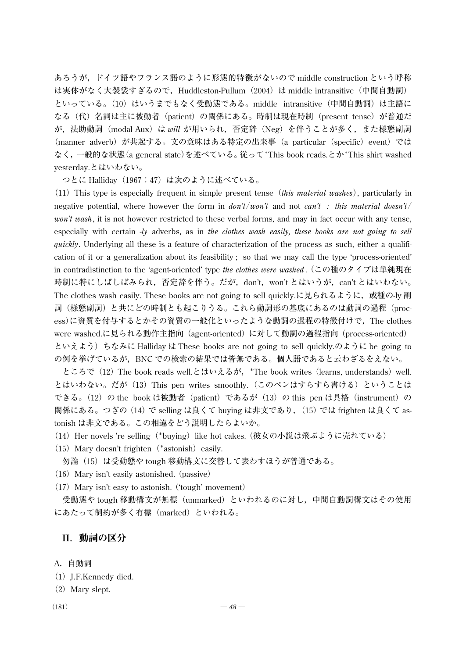あろうが,ドイツ語やフランス語のように形態的特徴がないので middle construction という呼称 は実体がなく大袈裟すぎるので,Huddleston-Pullum(2004)は middle intransitive(中間自動詞) といっている。(10) はいうまでもなく受動態である。middle intransitive (中間自動詞) は主語に なる(代)名詞は主に被動者(patient)の関係にある。時制は現在時制(present tense)が普通だ が,法助動詞(modal Aux)は *will* が用いられ,否定辞(Neg)を伴うことが多く,また様態副詞 (manner adverb) が共起する。文の意味はある特定の出来事 (a particular (specific) event) では なく,一般的な状態(a general state)を述べている。従って\*This book reads.とか\*This shirt washed yesterday.とはいわない。

つとに Halliday(1967:47)は次のように述べている。

(11)This type is especially frequent in simple present tense(*this material washes*), particularly in negative potential, where however the form in *don't*/*won't* and not *can't : this material doesn't*/ *won't wash*, it is not however restricted to these verbal forms, and may in fact occur with any tense, especially with certain -*ly* adverbs, as in *the clothes wash easily, these books are not going to sell quickly*. Underlying all these is a feature of characterization of the process as such, either a qualification of it or a generalization about its feasibility ; so that we may call the type 'process-oriented' in contradistinction to the 'agent-oriented' type *the clothes were washed* .(この種のタイプは単純現在 時制に特にしばしばみられ,否定辞を伴う。だが,don't,won't とはいうが,can't とはいわない。 The clothes wash easily. These books are not going to sell quickly.に見られるように, 或種の-ly 副 詞(様態副詞)と共にどの時制とも起こりうる。これら動詞形の基底にあるのは動詞の過程(process)に資質を付与するとかその資質の一般化といったような動詞の過程の特徴付けで,The clothes were washed.に見られる動作主指向(agent-oriented)に対して動詞の過程指向(process-oriented) といえよう)ちなみに Halliday は These books are not going to sell quickly.のように be going to の例を挙げているが,BNC での検索の結果では皆無である。個人語であると云わざるをえない。

ところで (12) The book reads well.とはいえるが, \*The book writes (learns, understands) well. とはいわない。だが(13)This pen writes smoothly.(このペンはすらすら書ける)ということは できる。(12) の the book は被動者 (patient) であるが (13) の this pen は具格 (instrument) の 関係にある。つぎの(14)で selling は良くて buying は非文であり,(15)では frighten は良くて astonish は非文である。この相違をどう説明したらよいか。

(14) Her novels 're selling (\*buying) like hot cakes. (彼女の小説は飛ぶように売れている)

(15) Mary doesn't frighten $(*astonish)$  easily.

勿論(15)は受動態や tough 移動構文に交替して表わすほうが普通である。

- (16) Mary isn't easily astonished. (passive)
- $(17)$  Mary isn't easy to astonish. ('tough' movement)

受動態や tough 移動構文が無標 (unmarked) といわれるのに対し、中間自動詞構文はその使用 にあたって制約が多く有標(marked)といわれる。

## II.動詞の区分

A.自動詞

- $(1)$  J.F.Kennedy died.
- (2) Mary slept.
-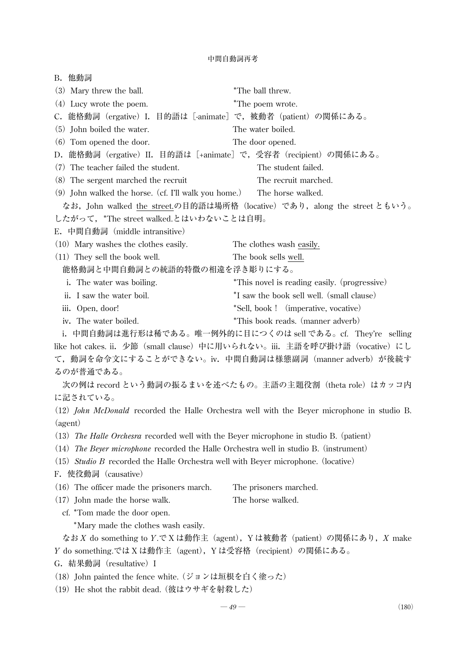| B. 他動詞                                                                                          |                                                                                                    |  |  |  |
|-------------------------------------------------------------------------------------------------|----------------------------------------------------------------------------------------------------|--|--|--|
| (3) Mary threw the ball.                                                                        | *The ball threw.                                                                                   |  |  |  |
| (4) Lucy wrote the poem.                                                                        | *The poem wrote.                                                                                   |  |  |  |
| C. 能格動詞(ergative)I. 目的語は [-animate] で, 被動者(patient)の関係にある。                                      |                                                                                                    |  |  |  |
| (5) John boiled the water.                                                                      | The water boiled.                                                                                  |  |  |  |
| (6) Tom opened the door.                                                                        | The door opened.                                                                                   |  |  |  |
| D. 能格動詞(ergative)II. 目的語は[+animate]で,受容者(recipient)の関係にある。                                      |                                                                                                    |  |  |  |
| (7) The teacher failed the student.                                                             | The student failed.                                                                                |  |  |  |
| (8) The sergent marched the recruit                                                             | The recruit marched.                                                                               |  |  |  |
| (9) John walked the horse. (cf. I'll walk you home.)                                            | The horse walked.                                                                                  |  |  |  |
|                                                                                                 | なお, John walked the street.の目的語は場所格 (locative) であり, along the street ともいう。                         |  |  |  |
| したがって、*The street walked.とはいわないことは自明。                                                           |                                                                                                    |  |  |  |
| E. 中間自動詞 (middle intransitive)                                                                  |                                                                                                    |  |  |  |
| (10) Mary washes the clothes easily.                                                            | The clothes wash easily.                                                                           |  |  |  |
| (11) They sell the book well.                                                                   | The book sells well.                                                                               |  |  |  |
| 能格動詞と中間自動詞との統語的特徴の相違を浮き彫りにする。                                                                   |                                                                                                    |  |  |  |
| i. The water was boiling.                                                                       | *This novel is reading easily. (progressive)                                                       |  |  |  |
| ii. I saw the water boil.                                                                       | *I saw the book sell well. (small clause)                                                          |  |  |  |
| iii. Open, door!                                                                                | *Sell, book ! (imperative, vocative)                                                               |  |  |  |
| iv. The water boiled.                                                                           | *This book reads. (manner adverb)                                                                  |  |  |  |
|                                                                                                 | i. 中間自動詞は進行形は稀である。唯一例外的に目につくのは sell である。cf. They're selling                                        |  |  |  |
|                                                                                                 | like hot cakes. ii. 少節 (small clause) 中に用いられない。iii. 主語を呼び掛け語 (vocative) にし                         |  |  |  |
|                                                                                                 | て,動詞を命令文にすることができない。iv. 中間自動詞は様態副詞(manner adverb)が後続す                                               |  |  |  |
| るのが普通である。                                                                                       |                                                                                                    |  |  |  |
|                                                                                                 | 次の例は record という動詞の振るまいを述べたもの。主語の主題役割(theta role)はカッコ内                                              |  |  |  |
| に記されている。                                                                                        |                                                                                                    |  |  |  |
|                                                                                                 | (12) <i>John McDonald</i> recorded the Halle Orchestra well with the Beyer microphone in studio B. |  |  |  |
| (agent)                                                                                         |                                                                                                    |  |  |  |
| (13) The Halle Orchesra recorded well with the Beyer microphone in studio B. (patient)          |                                                                                                    |  |  |  |
| (14) The Beyer microphone recorded the Halle Orchestra well in studio B. (instrument)           |                                                                                                    |  |  |  |
| (15) <i>Studio B</i> recorded the Halle Orchestra well with Beyer microphone. (locative)        |                                                                                                    |  |  |  |
| F. 使役動詞 (causative)                                                                             |                                                                                                    |  |  |  |
| $(16)$ The officer made the prisoners march.                                                    | The prisoners marched.                                                                             |  |  |  |
| $(17)$ John made the horse walk.                                                                | The horse walked.                                                                                  |  |  |  |
| cf. *Tom made the door open.                                                                    |                                                                                                    |  |  |  |
| *Mary made the clothes wash easily.                                                             |                                                                                                    |  |  |  |
| なお X do something to Y.で X は動作主 (agent), Y は被動者 (patient) の関係にあり, X make                        |                                                                                                    |  |  |  |
| Y do something.では X は動作主 (agent), Y は受容格 (recipient) の関係にある。                                    |                                                                                                    |  |  |  |
| G. 結果動詞 (resultative) I                                                                         |                                                                                                    |  |  |  |
| (18) John painted the fence white. (ジョンは垣根を白く塗った)<br>(19) He shot the rabbit dead. (彼はウサギを射殺した) |                                                                                                    |  |  |  |
|                                                                                                 |                                                                                                    |  |  |  |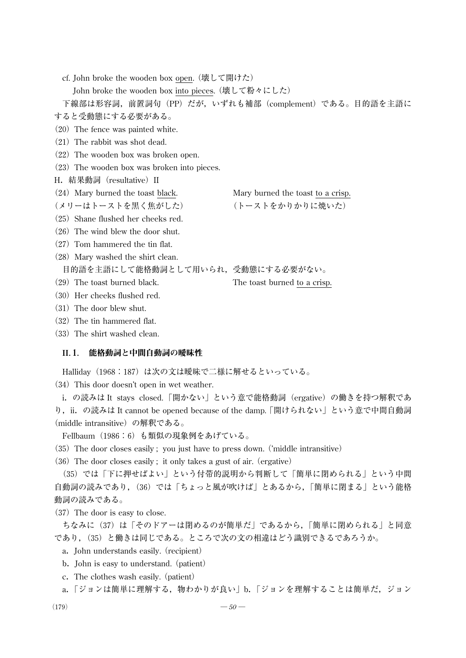cf. John broke the wooden box open.(壊して開けた)

John broke the wooden box into pieces.(壊して粉々にした)

下線部は形容詞,前置詞句(PP)だが,いずれも補部(complement)である。目的語を主語に すると受動態にする必要がある。

- $(20)$  The fence was painted white.
- $(21)$  The rabbit was shot dead.
- $(22)$  The wooden box was broken open.
- (23) The wooden box was broken into pieces.
- H. 結果動詞 (resultative) II
- (24)Mary burned the toast black. Mary burned the toast to a crisp.
- (メリーはトーストを黒く焦がした) (トーストをかりかりに焼いた)
	-
- (25) Shane flushed her cheeks red.  $(26)$  The wind blew the door shut.
- 
- $(27)$  Tom hammered the tin flat.
- (28) Mary washed the shirt clean.

目的語を主語にして能格動詞として用いられ,受動態にする必要がない。

- (29)The toast burned black. The toast burned to a crisp.
- $(30)$  Her cheeks flushed red.
- $(31)$  The door blew shut.
- $(32)$  The tin hammered flat.
- (33) The shirt washed clean.

#### II.1. 能格動詞と中間自動詞の曖昧性

Halliday (1968:187) は次の文は曖昧で二様に解せるといっている。

(34) This door doesn't open in wet weather.

i.の読みは It stays closed.「開かない」という意で能格動詞(ergative)の働きを持つ解釈であ り,ii.の読みは It cannot be opened because of the damp. 「開けられない」 という意で中間自動詞 (middle intransitive)の解釈である。

- Fellbaum(1986:6)も類似の現象例をあげている。
- (35) The door closes easily ; you just have to press down. ('middle intransitive)

 $(36)$  The door closes easily; it only takes a gust of air. (ergative)

(35)では「下に押せばよい」という付帯的説明から判断して「簡単に閉められる」という中間 自動詞の読みであり,(36)では「ちょっと風が吹けば」とあるから,「簡単に閉まる」という能格 動詞の読みである。

(37) The door is easy to close.

ちなみに(37)は「そのドアーは閉めるのが簡単だ」であるから,「簡単に閉められる」と同意 であり,(35)と働きは同じである。ところで次の文の相違はどう識別できるであろうか。

- a.John understands easily.(recipient)
- b. John is easy to understand. (patient)
- c.The clothes wash easily.(patient)
- a.「ジョンは簡単に理解する, 物わかりが良い」b.「ジョンを理解することは簡単だ, ジョン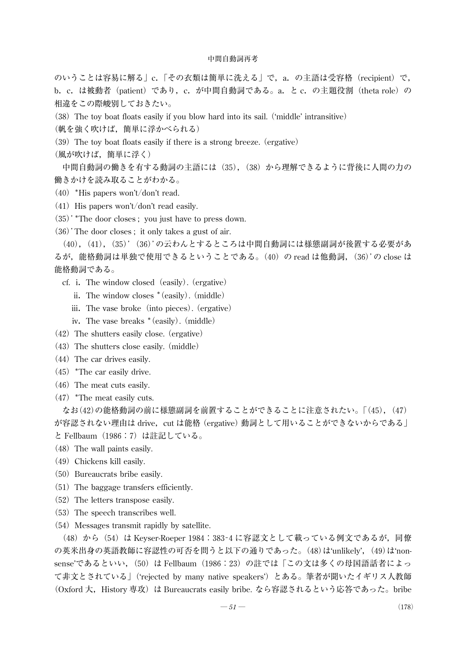のいうことは容易に解る」c.「その衣類は簡単に洗える」で, a. の主語は受容格 (recipient) で, b.c.は被動者(patient)であり,c.が中間自動詞である。a.と c.の主題役割(theta role)の 相違をこの際峻別しておきたい。

(38)The toy boat floats easily if you blow hard into its sail.('middle' intransitive)

(帆を強く吹けば,簡単に浮かべられる)

 $(39)$  The toy boat floats easily if there is a strong breeze. (ergative)

(風が吹けば,簡単に浮く)

中間自動詞の働きを有する動詞の主語には(35), (38) から理解できるように背後に人間の力の 働きかけを読み取ることがわかる。

- $(40)$  \*His papers won't/don't read.
- $(41)$  His papers won't/don't read easily.
- (35)'\*The door closes ; you just have to press down.

(36)'The door closes ; it only takes a gust of air.

(40),(41),(35)'(36)'の云わんとするところは中間自動詞には様態副詞が後置する必要があ るが, 能格動詞は単独で使用できるということである。(40) の read は他動詞, (36)'の close は 能格動詞である。

- cf. i.The window closed(easily).(ergative)
	- ii.The window closes \* (easily).(middle)
	- iii. The vase broke (into pieces). (ergative)
	- iv.The vase breaks \* (easily).(middle)
- $(42)$  The shutters easily close. (ergative)
- $(43)$  The shutters close easily. (middle)
- $(44)$  The car drives easily.
- $(45)$  \*The car easily drive.
- $(46)$  The meat cuts easily.
- $(47)$  \*The meat easily cuts.

なお(42)の能格動詞の前に様態副詞を前置することができることに注意されたい。「(45),(47) が容認されない理由は drive, cut は能格 (ergative) 動詞として用いることができないからである」 と Fellbaum(1986:7)は註記している。

- $(48)$  The wall paints easily.
- $(49)$  Chickens kill easily.
- (50) Bureaucrats bribe easily.
- $(51)$  The baggage transfers efficiently.
- (52) The letters transpose easily.
- (53) The speech transcribes well.
- (54) Messages transmit rapidly by satellite.

(48) から (54) は Keyser-Roeper 1984: 383-4に容認文として載っている例文であるが,同僚 の英米出身の英語教師に容認性の可否を問うと以下の通りであった。(48)は'unlikely', (49)は'nonsense'であるといい, (50) は Fellbaum (1986:23) の註では「この文は多くの母国語話者によっ て非文とされている」('rejected by many native speakers')とある。筆者が聞いたイギリス人教師 (Oxford 大,History 専攻)は Bureaucrats easily bribe. なら容認されるという応答であった。bribe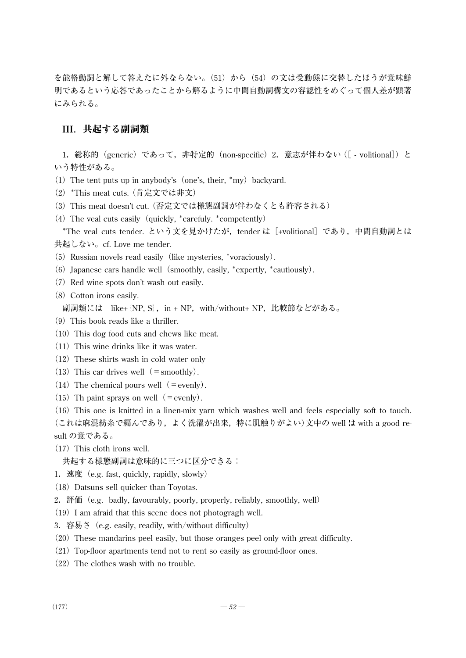を能格動詞と解して答えたに外ならない。(51)から(54)の文は受動態に交替したほうが意味鮮 明であるという応答であったことから解るように中間自動詞構文の容認性をめぐって個人差が顕著 にみられる。

## III.共起する副詞類

1. 総称的 (generic) であって, 非特定的 (non-specific) 2. 意志が伴わない ([ - volitional]) と いう特性がある。

- (1) The tent puts up in anybody's (one's, their,  $*$ my) backyard.
- (2)\*This meat cuts.(肯定文では非文)
- (3)This meat doesn't cut.(否定文では様態副詞が伴わなくとも許容される)
- (4) The veal cuts easily (quickly,  $*$ carefuly.  $*$ competently)

\*The veal cuts tender. という文を見かけたが, tender は [+volitional] であり, 中間自動詞とは 共起しない。cf. Love me tender.

- (5) Russian novels read easily (like mysteries, \*voraciously).
- (6) Japanese cars handle well (smoothly, easily, \*expertly, \*cautiously).
- $(7)$  Red wine spots don't wash out easily.
- (8) Cotton irons easily.

副詞類には like+{NP, S}, in + NP, with/without+ NP, 比較節などがある。

- $(9)$  This book reads like a thriller.
- $(10)$  This dog food cuts and chews like meat.
- $(11)$  This wine drinks like it was water.
- $(12)$  These shirts wash in cold water only
- (13) This car drives well  $(=$  smoothly).
- (14) The chemical pours well (=evenly).
- (15) Th paint sprays on well (=evenly).

(16)This one is knitted in a linen-mix yarn which washes well and feels especially soft to touch. (これは麻混紡糸で編んであり,よく洗濯が出来,特に肌触りがよい)文中の well は with a good result の意である。

 $(17)$  This cloth irons well.

共起する様態副詞は意味的に三つに区分できる:

- 1.速度(e.g. fast, quickly, rapidly, slowly)
- (18) Datsuns sell quicker than Toyotas.
- 2.評価(e.g. badly, favourably, poorly, properly, reliably, smoothly, well)
- $(19)$  I am afraid that this scene does not photogragh well.
- 3.容易さ(e.g. easily, readily, with/without difficulty)
- (20)These mandarins peel easily, but those oranges peel only with great difficulty.
- $(21)$  Top-floor apartments tend not to rent so easily as ground-floor ones.
- $(22)$  The clothes wash with no trouble.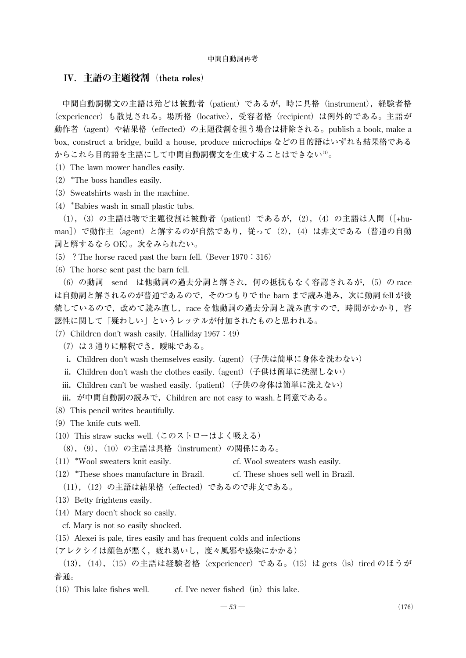## IV.主語の主題役割(theta roles)

中間自動詞構文の主語は殆どは被動者 (patient) であるが、時に具格 (instrument), 経験者格 (experiencer)も散見される。場所格(locative),受容者格(recipient)は例外的である。主語が 動作者(agent)や結果格(effected)の主題役割を担う場合は排除される。publish a book, make a box, construct a bridge, build a house, produce microchips などの目的語はいずれも結果格である からこれら目的語を主語にして中間自動詞構文を生成することはできない(1)。

- (1) The lawn mower handles easily.
- (2)\*The boss handles easily.
- $(3)$  Sweatshirts wash in the machine.
- (4)\*Babies wash in small plastic tubs.

(1),(3)の主語は物で主題役割は被動者(patient)であるが,(2),(4)の主語は人間([+human])で動作主 (agent) と解するのが自然であり、従って (2), (4) は非文である (普通の自動 詞と解するなら OK)。次をみられたい。

(5) ? The horse raced past the barn fell. (Bever 1970: 316)

 $(6)$  The horse sent past the barn fell.

(6)の動詞 send は他動詞の過去分詞と解され,何の抵抗もなく容認されるが,(5)の race は自動詞と解されるのが普通であるので, そのつもりで the barn まで読み進み, 次に動詞 fell が後 続しているので,改改ので読み直し,race を他動詞の過去分詞と読み直すので,時間がかかり,容 認性に関して「疑わしい」というレッテルが付加されたものと思われる。

(7) Children don't wash easily. (Halliday  $1967:49$ )

- (7)は3通りに解釈でき,曖昧である。
- i. Children don't wash themselves easily. (agent) (子供は簡単に身体を洗わない)
- ii. Children don't wash the clothes easily. (agent) (子供は簡単に洗濯しない)
- iii. Children can't be washed easily. (patient) (子供の身体は簡単に洗えない)

iii. が中間自動詞の読みで,Children are not easy to wash.と同意である。

- (8) This pencil writes beautifully.
- $(9)$  The knife cuts well.
- (10)This straw sucks well.(このストローはよく吸える)

(8), (9), (10) の主語は具格 (instrument) の関係にある。

- (11)\*Wool sweaters knit easily. cf. Wool sweaters wash easily.
- $(12)$  \*These shoes manufacture in Brazil. cf. These shoes sell well in Brazil.
- (11),(12)の主語は結果格(effected)であるので非文である。
- (13) Betty frightens easily.
- $(14)$  Mary doen't shock so easily.
- cf. Mary is not so easily shocked.
- $(15)$  Alexei is pale, tires easily and has frequent colds and infections
- (アレクシイは顔色が悪く,疲れ易いし,度々風邪や感染にかかる)
- (13),(14),(15)の主語は経験者格(experiencer)である。(15)は gets(is)tired のほうが 普通。
- $(16)$  This lake fishes well. cf. I've never fished  $(in)$  this lake.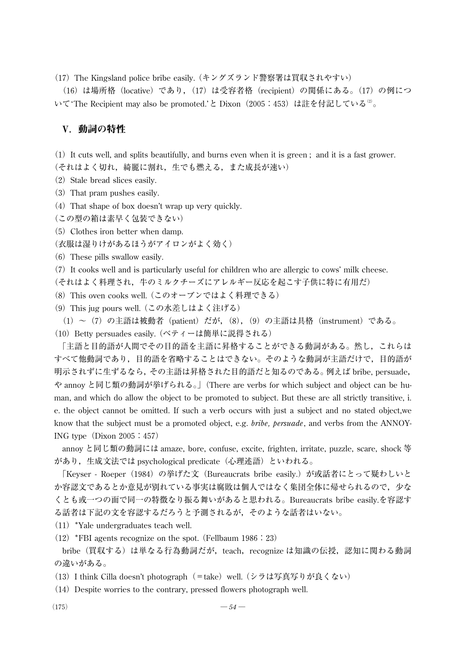(17)The Kingsland police bribe easily.(キングズランド警察署は買収されやすい)

(16)は場所格(locative)であり,(17)は受容者格(recipient)の関係にある。(17)の例につ いて'The Recipient may also be promoted.'と Dixon (2005:453)は註を付記している<sup>2)</sup>。

## V.動詞の特性

 $(1)$  It cuts well, and splits beautifully, and burns even when it is green; and it is a fast grower. (それはよく切れ,綺麗に割れ,生でも燃える,また成長が速い)

- $(2)$  Stale bread slices easily.
- (3) That pram pushes easily.
- (4) That shape of box doesn't wrap up very quickly.
- (この型の箱は素早く包装できない)
- $(5)$  Clothes iron better when damp.
- (衣服は湿りけがあるほうがアイロンがよく効く)
- $(6)$  These pills swallow easily.
- (7)It cooks well and is particularly useful for children who are allergic to cows' milk cheese.
- (それはよく料理され,牛のミルクチーズにアレルギー反応を起こす子供に特に有用だ)
- (8)This oven cooks well.(このオーブンではよく料理できる)
- (9)This jug pours well.(この水差しはよく注げる)
- (1)~(7)の主語は被動者(patient)だが,(8),(9)の主語は具格(instrument)である。
- (10) Betty persuades easily. (ベティーは簡単に説得される)

「主語と目的語が人間でその目的語を主語に昇格することができる動詞がある。然し,これらは すべて他動詞であり,目的語を省略することはできない。そのような動詞が主語だけで,目的語が 明示されずに生ずるなら,その主語は昇格された目的語だと知るのである。例えば bribe, persuade, や annoy と同じ類の動詞が挙げられる。」(There are verbs for which subject and object can be human, and which do allow the object to be promoted to subject. But these are all strictly transitive, i. e. the object cannot be omitted. If such a verb occurs with just a subject and no stated object,we know that the subject must be a promoted object, e.g. *bribe, persuade*, and verbs from the ANNOY-ING type  $(Dixon 2005 : 457)$ 

annoy と同じ類の動詞には amaze, bore, confuse, excite, frighten, irritate, puzzle, scare, shock 等 があり,生成文法では psychological predicate(心理述語)といわれる。

「Keyser - Roeper(1984)の挙げた文(Bureaucrats bribe easily.)が或話者にとって疑わしいと か容認文であるとか意見が別れている事実は腐敗は個人ではなく集団全体に帰せられるので、少な くとも或一つの面で同一の特徴なり振る舞いがあると思われる。Bureaucrats bribe easily.を容認す る話者は下記の文を容認するだろうと予測されるが,そのような話者はいない。

 $(11)$  \*Yale undergraduates teach well.

 $(12)$  \*FBI agents recognize on the spot. (Fellbaum 1986: 23)

bribe (買収する)は単なる行為動詞だが, teach, recognize は知識の伝授, 認知に関わる動詞 の違いがある。

- (13) I think Cilla doesn't photograph (=take) well. (シラは写真写りが良くない)
- $(14)$  Despite worries to the contrary, pressed flowers photograph well.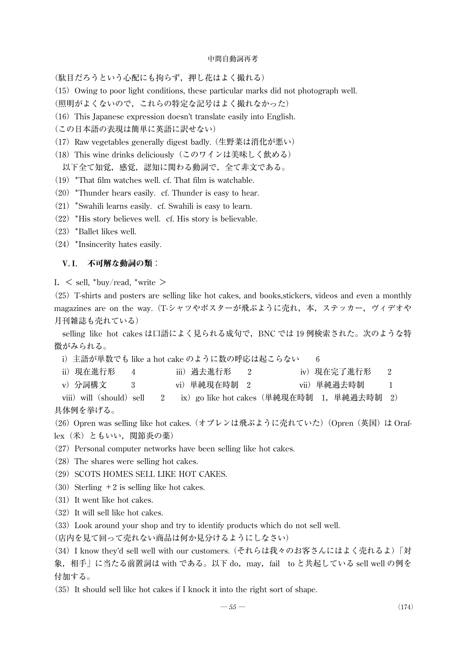(駄目だろうという心配にも拘らず,押し花はよく撮れる)

(15) Owing to poor light conditions, these particular marks did not photograph well.

(照明がよくないので,これらの特定な記号はよく撮れなかった)

 $(16)$  This Japanese expression doesn't translate easily into English.

(この日本語の表現は簡単に英語に訳せない)

(17) Raw vegetables generally digest badly. (生野菜は消化が悪い)

(18) This wine drinks deliciously (このワインは美味しく飲める)

以下全て知覚,感覚,認知に関わる動詞で、全て非文である。

 $(19)$  \*That film watches well. cf. That film is watchable.

 $(20)$  \*Thunder hears easily. cf. Thunder is easy to hear.

 $(21)$  \*Swahili learns easily. cf. Swahili is easy to learn.

 $(22)$  \*His story believes well. cf. His story is believable.

(23)\*Ballet likes well.

(24)\*Insincerity hates easily.

### V.I. 不可解な動詞の類:

I.  $\le$  sell, \*buy/read, \*write  $>$ 

 $(25)$  T-shirts and posters are selling like hot cakes, and books, stickers, videos and even a monthly magazines are on the way. (T-シャツやポスターが飛ぶように売れ, 本, ステッカー, ヴィデオや 月刊雑誌も売れている)

selling like hot cakes は口語によく見られる成句で, BNC では 19 例検索された。次のような特 徴がみられる。

i) 主語が単数でも like a hot cake のように数の呼応は起こらない 6

| ii)現在進行形 |  | iii)過去進行形 |  | iv)現在完了進行形 |  |
|----------|--|-----------|--|------------|--|
|----------|--|-----------|--|------------|--|

v)分詞構文 3 vi)単純現在時制 2 vii)単純過去時制 1

viii) will (should) sell 2 ix) go like hot cakes (単純現在時制 1,単純過去時制 2) 具体例を挙げる。

(26) Opren was selling like hot cakes. (オプレンは飛ぶように売れていた) (Opren (英国) は Oraflex(米)ともいい,関節炎の薬)

(27) Personal computer networks have been selling like hot cakes.

- (28) The shares were selling hot cakes.
- (29) SCOTS HOMES SELL LIKE HOT CAKES.
- $(30)$  Sterling +2 is selling like hot cakes.

 $(31)$  It went like hot cakes.

 $(32)$  It will sell like hot cakes.

(33)Look around your shop and try to identify products which do not sell well.

(店内を見て回って売れない商品は何か見分けるようにしなさい)

(34)I know they'd sell well with our customers.(それらは我々のお客さんにはよく売れるよ)「対 象,相手」に当たる前置詞は with である。以下 do,may,fail to と共起している sell well の例を 付加する。

 $(35)$  It should sell like hot cakes if I knock it into the right sort of shape.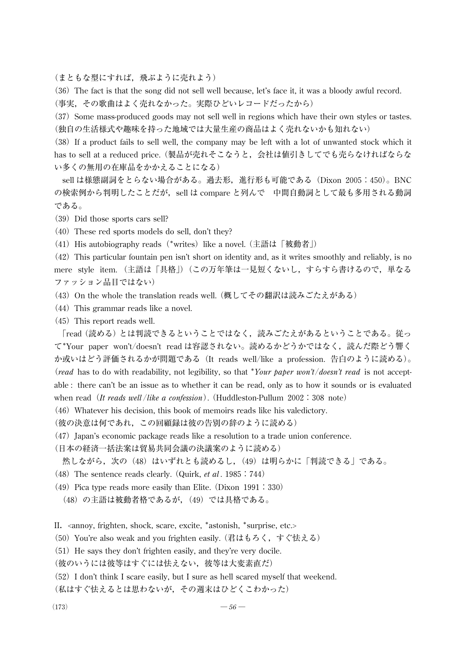(まともな型にすれば,飛ぶように売れよう)

(36)The fact is that the song did not sell well because, let's face it, it was a bloody awful record.

(事実,その歌曲はよく売れなかった。実際ひどいレコードだったから)

(37) Some mass-produced goods may not sell well in regions which have their own styles or tastes. (独自の生活様式や趣味を持った地域では大量生産の商品はよく売れないかも知れない)

(38)If a product fails to sell well, the company may be left with a lot of unwanted stock which it has to sell at a reduced price.(製品が売れそこなうと,会社は値引きしてでも売らなければならな い多くの無用の在庫品をかかえることになる)

sell は様態副詞をとらない場合がある。過去形,進行形も可能である(Dixon 2005:450)。BNC の検索例から判明したことだが, sell は compare と列んで 中間自動詞として最も多用される動詞 である。

(39) Did those sports cars sell?

 $(40)$  These red sports models do sell, don't they?

(41) His autobiography reads (\*writes) like a novel. (主語は「被動者」)

(42)This particular fountain pen isn't short on identity and, as it writes smoothly and reliably, is no mere style item. (主語は「具格」)(この万年筆は一見短くないし,すらすら書けるので,単なる ファッション品目ではない)

(43) On the whole the translation reads well. (概してその翻訳は読みごたえがある)

 $(44)$  This grammar reads like a novel.

 $(45)$  This report reads well.

「read(読める)とは判読できるということではなく,読みごたえがあるということである。従っ て\*Your paper won't/doesn't read は容認されない。読めるかどうかではなく, 読んだ際どう響く か或いはどう評価されるかが問題である(It reads well/like a profession. 告白のように読める)。 (*read* has to do with readability, not legibility, so that \**Your paper won't*/*doesn't read* is not acceptable : there can't be an issue as to whether it can be read, only as to how it sounds or is evaluated when read (*It reads well* /*like a confession*). (Huddleston-Pullum 2002:308 note)

 $(46)$  Whatever his decision, this book of memoirs reads like his valedictory.

(彼の決意は何であれ,この回顧録は彼の告別の辞のように読める)

 $(47)$  Japan's economic package reads like a resolution to a trade union conference.

(日本の経済一括法案は貿易共同会議の決議案のように読める)

然しながら,次の (48) はいずれとも読めるし, (49) は明らかに「判読できる」である。

- (48)The sentence reads clearly.(Quirk, *et al* .1985:744)
- (49) Pica type reads more easily than Elite. (Dixon  $1991:330$ )
	- (48) の主語は被動者格であるが, (49) では具格である。

II. <annoy, frighten, shock, scare, excite, \*astonish, \*surprise, etc.>

(50) You're also weak and you frighten easily. (君はもろく, すぐ怯える)

 $(51)$  He says they don't frighten easily, and they're very docile.

(彼のいうには彼等はすぐには怯えない,彼等は大変素直だ)

(52)I don't think I scare easily, but I sure as hell scared myself that weekend.

(私はすぐ怯えるとは思わないが,その週末はひどくこわかった)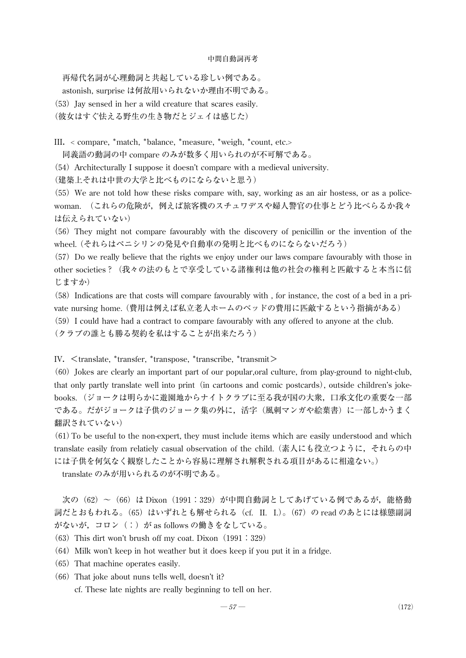再帰代名詞が心理動詞と共起している珍しい例である。

astonish, surprise は何故用いられないか理由不明である。

 $(53)$  Jay sensed in her a wild creature that scares easily.

(彼女はすぐ怯える野生の生き物だとジェイは感じた)

III.< compare, \*match, \*balance, \*measure, \*weigh, \*count, etc.>

同義語の動詞の中 compare のみが数多く用いられのが不可解である。

(54) Architecturally I suppose it doesn't compare with a medieval university.

(建築上それは中世の大学と比べものにならないと思う)

 $(55)$  We are not told how these risks compare with, say, working as an air hostess, or as a policewoman. (これらの危険が,例えば旅客機のスチュワデスや婦人警官の仕事とどう比べらるか我々 は伝えられていない)

(56) They might not compare favourably with the discovery of penicillin or the invention of the wheel.(それらはペニシリンの発見や自動車の発明と比べものにならないだろう)

(57)Do we really believe that the rights we enjoy under our laws compare favourably with those in other societies?(我々の法のもとで享受している諸権利は他の社会の権利と匹敵すると本当に信 じますか)

(58)Indications are that costs will compare favourably with , for instance, the cost of a bed in a private nursing home.(費用は例えば私立老人ホームのベッドの費用に匹敵するという指摘がある)

(59)I could have had a contract to compare favourably with any offered to anyone at the club.

(クラブの誰とも勝る契約を私はすることが出来たろう)

IV. <translate, \*transfer, \*transpose, \*transcribe, \*transmit>

(60)Jokes are clearly an important part of our popular,oral culture, from play-ground to night-club, that only partly translate well into print (in cartoons and comic postcards), outside children's jokebooks.(ジョークは明らかに遊園地からナイトクラブに至る我が国の大衆,口承文化の重要な一部 である。だがジョークは子供のジョーク集の外に,活字(風刺マンガや絵葉書)に一部しかうまく 翻訳されていない)

 $(61)$  To be useful to the non-expert, they must include items which are easily understood and which translate easily from relatiely casual observation of the child.(素人にも役立つように,それらの中 には子供を何気なく観察したことから容易に理解され解釈される項目があるに相違ない。)

translate のみが用いられるのが不明である。

次の (62) ~ (66) は Dixon (1991:329) が中間自動詞としてあげている例であるが, 能格動 詞だとおもわれる。(65) はいずれとも解せられる(cf. II. I.)。(67) の read のあとには様態副詞 がないが,コロン(:)が as follows の働きをなしている。

(63) This dirt won't brush off my coat. Dixon  $(1991:329)$ 

 $(64)$  Milk won't keep in hot weather but it does keep if you put it in a fridge.

- (65) That machine operates easily.
- $(66)$  That joke about nuns tells well, doesn't it?

cf. These late nights are really beginning to tell on her.

$$
-57 - (172)
$$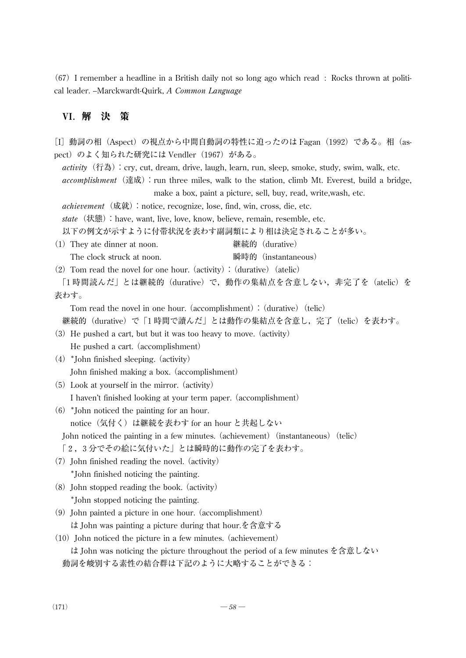$(67)$  I remember a headline in a British daily not so long ago which read : Rocks thrown at political leader. --Marckwardt-Quirk, *A Common Language*

## VI.解 決 策

[I]動詞の相(Aspect)の視点から中間自動詞の特性に迫ったのは Fagan(1992)である。相(aspect)のよく知られた研究には Vendler (1967) がある。 activity (行為): cry, cut, dream, drive, laugh, learn, run, sleep, smoke, study, swim, walk, etc. accomplishment (達成): run three miles, walk to the station, climb Mt. Everest, build a bridge, make a box, paint a picture, sell, buy, read, write,wash, etc. achievement (成就): notice, recognize, lose, find, win, cross, die, etc. *state*(状態):have, want, live, love, know, believe, remain, resemble, etc. 以下の例文が示すように付帯状況を表わす副詞類により相は決定されることが多い。 (1)They ate dinner at noon. 継続的(durative) The clock struck at noon. 瞬時的(instantaneous) (2) Tom read the novel for one hour. (activity):  $(durative)$  (atelic) 「1時間読んだ」とは継続的(durative)で,動作の集結点を含意しない,非完了を(atelic)を 表わす。 Tom read the novel in one hour. (accomplishment):  $(durative)$  (telic) 継続的(durative)で「1時間で讀んだ」とは動作の集結点を含意し,完了(telic)を表わす。  $(3)$  He pushed a cart, but but it was too heavy to move. (activity) He pushed a cart. (accomplishment)  $(4)$  \*John finished sleeping. (activity) John finished making a box.(accomplishment) (5)Look at yourself in the mirror.(activity) I haven't finished looking at your term paper.(accomplishment)  $(6)$  \*John noticed the painting for an hour. notice(気付く)は継続を表わす for an hour と共起しない John noticed the painting in a few minutes. (achievement) (instantaneous) (telic) 「2,3分でその絵に気付いた」とは瞬時的に動作の完了を表わす。  $(7)$  John finished reading the novel. (activity) \*John finished noticing the painting. (8)John stopped reading the book.(activity) \*John stopped noticing the painting.  $(9)$  John painted a picture in one hour. (accomplishment) は John was painting a picture during that hour.を含意する  $(10)$  John noticed the picture in a few minutes. (achievement) は John was noticing the picture throughout the period of a few minutes を含意しない 動詞を峻別する素性の結合群は下記のように大略することができる: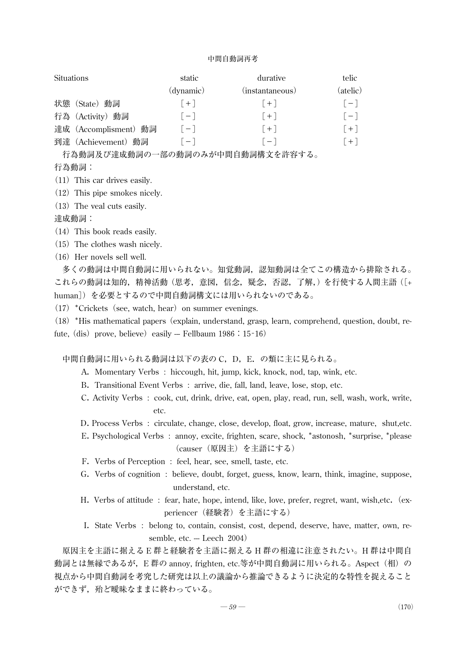| <b>Situations</b> |                       | static    | durative          | telic.   |
|-------------------|-----------------------|-----------|-------------------|----------|
|                   |                       | (dynamic) | (instantaneous)   | (atelic) |
|                   | 状態 (State) 動詞         | $  +  $   | $ + $             | $[-]$    |
|                   | 行為 (Activity) 動詞      | $ - $     | $ + $             | $[-1]$   |
|                   | 達成 (Accomplisment) 動詞 | $ - $     | $ + $             | $  +  $  |
|                   | 到達 (Achievement) 動詞   | $ - $     | $\lceil - \rceil$ | $  +  $  |

行為動詞及び達成動詞の一部の動詞のみが中間自動詞構文を許容する。

行為動詞:

 $(11)$  This car drives easily.

(12) This pipe smokes nicely.

 $(13)$  The veal cuts easily.

達成動詞:

- $(14)$  This book reads easily.
- $(15)$  The clothes wash nicely.
- $(16)$  Her novels sell well.

多くの動詞は中間自動詞に用いられない。知覚動詞,認知動詞は全てこの構造から排除される。 これらの動詞は知的,精神活動(思考,意図,信念,疑念,否認,了解,)を行使する人間主語([+ human])を必要とするので中間自動詞構文には用いられないのである。

(17) \*Crickets (see, watch, hear) on summer evenings.

(18)\*His mathematical papers(explain, understand, grasp, learn, comprehend, question, doubt, refute, (dis) prove, believe) easily -- Fellbaum 1986: 15-16)

中間自動詞に用いられる動詞は以下の表の C, D, E. の類に主に見られる。

- A.Momentary Verbs : hiccough, hit, jump, kick, knock, nod, tap, wink, etc.
- B. Transitional Event Verbs : arrive, die, fall, land, leave, lose, stop, etc.
- C.Activity Verbs : cook, cut, drink, drive, eat, open, play, read, run, sell, wash, work, write, etc.
- D.Process Verbs : circulate, change, close, develop, float, grow, increase, mature, shut,etc.
- E.Psychological Verbs : annoy, excite, frighten, scare, shock, \*astonosh, \*surprise, \*please (causer(原因主)を主語にする)
- F.Verbs of Perception : feel, hear, see, smell, taste, etc.
- G. Verbs of cognition : believe, doubt, forget, guess, know, learn, think, imagine, suppose, understand, etc.
- H. Verbs of attitude : fear, hate, hope, intend, like, love, prefer, regret, want, wish,etc. (experiencer (経験者) を主語にする)
- I.State Verbs : belong to, contain, consist, cost, depend, deserve, have, matter, own, resemble, etc.  $-$  Leech 2004)

原因主を主語に据える E 群と経験者を主語に据える H 群の相違に注意されたい。H 群は中間自 動詞とは無縁であるが, E 群の annoy, frighten, etc.等が中間自動詞に用いられる。Aspect(相)の 視点から中間自動詞を考究した研究は以上の議論から推論できるように決定的な特性を捉えること ができず,殆ど曖昧なままに終わっている。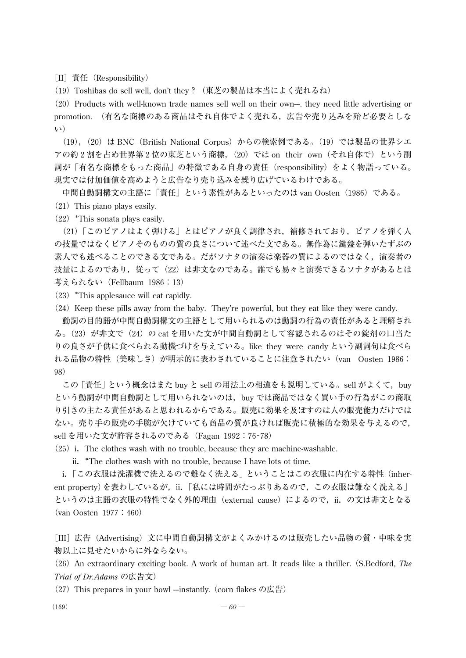[II] 責任 (Responsibility)

(19) Toshibas do sell well, don't they ? (東芝の製品は本当によく売れるね)

(20) Products with well-known trade names sell well on their own—, they need little advertising or promotion. (有名な商標のある商品はそれ自体でよく売れる,広告や売り込みを殆ど必要としな い)

(19),(20)は BNC(British National Corpus)からの検索例である。(19)では製品の世界シエ アの約2割を占め世界第2位の東芝という商標,(20)では on their own(それ自体で)という副 詞が「有名な商標をもった商品」の特徴である自身の責任(responsibility)をよく物語っている。 現実では付加価値を高めようと広告なり売り込みを繰り広げているわけである。

中間自動詞構文の主語に「責任」という素性があるといったのは van Oosten(1986)である。

 $(21)$  This piano plays easily.

(22)\*This sonata plays easily.

(21)「このピアノはよく弾ける」とはピアノが良く調律され,補修されており,ピアノを弾く人 の技量ではなくピアノそのものの質の良さについて述べた文である。無作為に鍵盤を弾いたずぶの 素人でも述べることのできる文である。だがソナタの演奏は楽器の質によるのではなく,演奏者の 技量によるのであり,従んって(22)は非文なのである。誰でも易々と演奏できるソナタがあるとは 考えられない(Fellbaum 1986:13)

 $(23)$  \*This applesauce will eat rapidly.

(24) Keep these pills away from the baby. They're powerful, but they eat like they were candy.

動詞の目的語が中間自動詞構文の主語として用いられるのは動詞の行為の責任があると理解され る。(23) が非文で(24)の eat を用いた文が中間自動詞として容認されるのはその錠剤の口当た りの良さが子供に食べられる動機づけを与えている。like they were candy という副詞句は食べら れる品物の特性(美味しさ)が明示的に表わされていることに注意されたい(van Oosten 1986: 98)

この 「責任」 という概念はまた buy と sell の用法上の相違をも説明している。sell がよくて,buy という動詞が中間自動詞として用いられないのは,buy では商品ではなく買い手の行為がこの商取 り引きの主たる責任があると思われるからである。販売に効果を及ぼすのは人の販売能力だけでは ない。売り手の販売の手腕が欠けていても商品の質が良ければ販売に積極的な効果を与えるので, sell を用いた文が許容されるのである(Fagan 1992:76-78)

 $(25)$  i. The clothes wash with no trouble, because they are machine-washable.

ii.\*The clothes wash with no trouble, because I have lots ot time.

i.「この衣服は洗濯機で洗えるので難なく洗える」ということはこの衣服に内在する特性(inherent property)を表わしているが,ii.「私には時間がたっぷりあるので,この衣服は難なく洗える」 というのは主語の衣服の特性でなく外的理由(external cause)によるので, ii. の文は非文となる (van Oosten 1977:460)

[III] 広告(Advertising) 文に中間自動詞構文がよくみかけるのは販売したい品物の質・中味を実 物以上に見せたいからに外ならない。

(26)An extraordinary exciting book. A work of human art. It reads like a thriller.(S.Bedford, *The Trial of Dr.Adams* の広告文)

(27) This prepares in your bowl  $-$ instantly. (corn flakes の広告)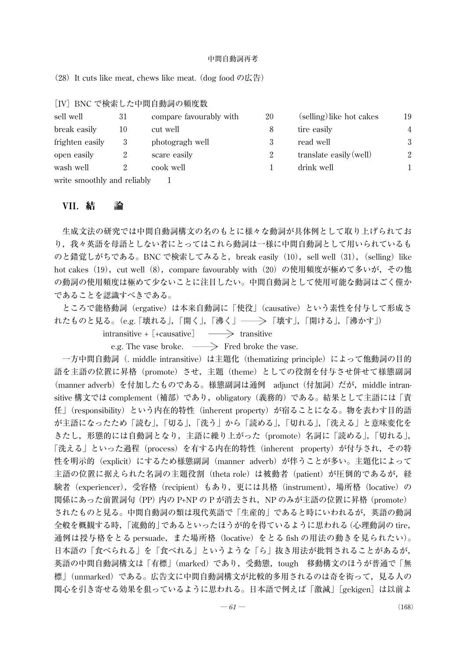(28) It cuts like meat, chews like meat. (dog food の広告)

|                             |    | [IV] BNC で検索した中間自動詞の頻度数 |    |                          |                |
|-----------------------------|----|-------------------------|----|--------------------------|----------------|
| sell well                   | 31 | compare favourably with | 20 | (selling) like hot cakes | 19             |
| break easily                | 10 | cut well                | 8  | tire easily              | $\overline{4}$ |
| frighten easily             | 3  | photogragh well         |    | read well                | 3              |
| open easily                 |    | scare easily            | 2  | translate easily (well)  | 2              |
| wash well                   |    | cook well               |    | drink well               |                |
| write smoothly and reliably |    |                         |    |                          |                |

## VII.結 論

生成文法の研究では中間自動詞構文の名のもとに様々な動詞が具体例として取り上げられてお り,我々英語を母語としない者にとってはこれら動詞は一様に中間自動詞として用いられているも のと錯覚しがちである。BNC で検索してみると, break easily (10), sell well (31), (selling) like hot cakes (19), cut well (8), compare favourably with (20) の使用頻度が極めて多いが, その他 の動詞の使用頻度は極めて少ないことに注目したい。中間自動詞として使用可能な動詞はごく僅か であることを認識すべきである。

ところで能格動詞(ergative)は本来自動詞に「使役」(causative)という素性を付与して形成さ れたものと見る。(e.g. 「壊れる」, 「開く」, 「沸く」 ―― > 「壊す」, 「開ける」, 「沸かす」)

intransitive +  $[+causative] \longrightarrow$  transitive

e.g. The vase broke.  $\longrightarrow$  Fred broke the vase.

一方中間自動詞(. middle intransitive)は主題化(thematizing principle)によって他動詞の目的 語を主語の位置に昇格(promote)させ,主題(theme)としての役割を付与させ併せて様態副詞 (manner adverb)を付加したものである。様態副詞は通例 adjunct(付加詞)だが,middle intransitive 構文では complement(補部)であり,obligatory(義務的)である。結果として主語には「責 任」(responsibility)という内在的特性(inherent property)が宿ることになる。物を表わす目的語 が主語になったため「読む」,「切る」,「洗う」から「読める」,「切れる」,「洗える」と意味変化を きたし,形態的には自動詞となり,主語に繰り上がった(promote)名詞に「読める」,「切れる」, 「洗える」といった過程(process)を有する内在的特性(inherent property)が付与され,その特 性を明示的 (explicit) にするため様態副詞 (manner adverb) が伴うことが多い。主題化によって 主語の位置に据えられた名詞の主題役割(theta role)は被動者(patient)が圧倒的であるが, 経 験者(experiencer),受容格(recipient)もあり,更には具格(instrument),場所格(locative)の 関係にあった前置詞句 (PP) 内の P+NP の P が消去され, NP のみが主語の位置に昇格 (promote) されたものと見る。中間自動詞の類は現代英語で「生産的」であると時にいわれるが,英語の動詞 全般を概観する時,「流動的」であるといったほうが的を得ているように思われる(心理動詞の tire, 通例は授与格をとる persuade, また場所格 (locative) をとる fish の用法の動きを見られたい)。 日本語の「食べられる」を「食べれる」というような「ら」抜き用法が批判されることがあるが, 英語の中間自動詞構文は「有標」(marked)であり,受動態,tough 移動構文のほうが普通で「無 標」(unmarked)である。広告文に中間自動詞構文が比較的多用されるのは奇を衒って,見る人の 関心を引き寄せる効果を狙っているように思われる。日本語で例えば「激減」[gekigen] は以前よ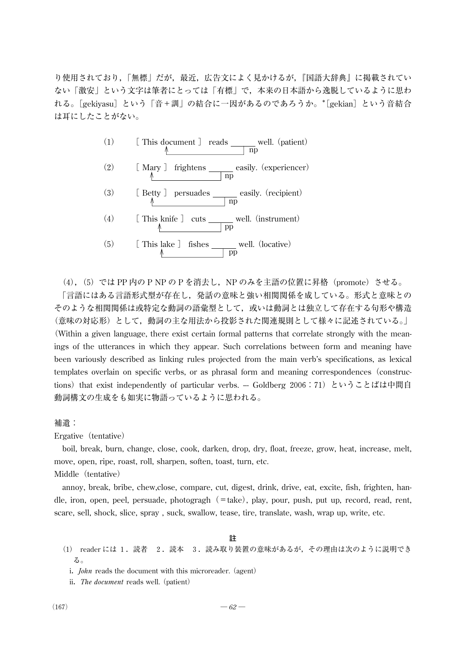り使用されており,「無標」だが,最近,広告文によく見かけるが,『国語大辞典』に掲載されてい ない「激安」という文字は筆者にとっては「有標」で,本来の日本語から逸脱しているように思わ れる。[gekiyasu]という「音+訓」の結合に一因があるのであろうか。\* [gekian] という音結合 は耳にしたことがない。



(4), (5) では PP 内の P NP の P を消去し, NP のみを主語の位置に昇格 (promote) させる。 「言語にはある言語形式型が存在し,発話の意味と強い相関関係を成している。形式と意味との そのような相関関係は或特定な動詞の語彙型として,或いは動詞とは独立して存在する句形や構造 (意味の対応形)として,動詞の主な用法から投影された関連規則として様々に記述されている。」 (Within a given language, there exist certain formal patterns that correlate strongly with the meanings of the utterances in which they appear. Such correlations between form and meaning have been variously described as linking rules projected from the main verb's specifications, as lexical templates overlain on specific verbs, or as phrasal form and meaning correspondences(constructions) that exist independently of particular verbs. -- Goldberg 2006:71) ということばは中間自 動詞構文の生成をも如実に物語っているように思われる。

補遺:

Ergative (tentative)

boil, break, burn, change, close, cook, darken, drop, dry, float, freeze, grow, heat, increase, melt, move, open, ripe, roast, roll, sharpen, soften, toast, turn, etc. Middle (tentative)

annoy, break, bribe, chew,close, compare, cut, digest, drink, drive, eat, excite, fish, frighten, handle, iron, open, peel, persuade, photogragh(=take), play, pour, push, put up, record, read, rent, scare, sell, shock, slice, spray , suck, swallow, tease, tire, translate, wash, wrap up, write, etc.

#### **註**

- (1) reader には 1.読者 2.読本 3.読み取り装置の意味があるが,その理由は次のように説明でき る。
	- i. *John* reads the document with this microreader. (agent)
	- ii. The document reads well. (patient)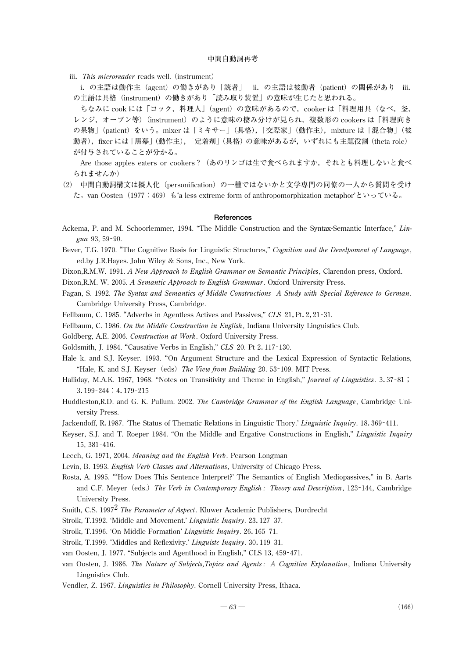iii. This microreader reads well. (instrument)

i.の主語は動作主(agent)の働きがあり「読者」 ii.の主語は被動者(patient)の関係があり iii. の主語は具格(instrument)の働きがあり「読み取り装置」の意味が生じたと思われる。

ちなみに cook には「コック,料理人」(agent)の意味があるので,cooker は「料理用具(なべ,釜, レンジ,オーブン等) (instrument) のように意味の棲み分けが見られ,複数形の cookers は「料理向き の果物」(patient) をいう。mixer は「ミキサー」(具格),「交際家」(動作主), mixture は「混合物」(被 動者),fixer には 「黒幕」 (動作主),「定着剤」 (具格) の意味があるが,いずれにも主題役割 (theta role) が付与されていることが分かる。

Are those apples eaters or cookers?(あのリンゴは生で食べられますか,それとも料理しないと食べ られませんか)

(2) 中間自動詞構文は擬人化(personification)の一種ではないかと文学専門の同僚の一人から質問を受け た。van Oosten (1977:469) も'a less extreme form of anthropomorphization metaphor'といっている。

#### **References**

- Ackema, P. and M. Schoorlemmer,1994. "The Middle Construction and the Syntax-Semantic Interface," *Lingua*93,59-90.
- Bever, T.G.1970. "The Cognitive Basis for Linguistic Structures," *Cognition and the Develpoment of Language*, ed.by J.R.Hayes. John Wiley & Sons, Inc., New York.
- Dixon,R.M.W.1991. *A New Approach to English Grammar on Semantic Principles*, Clarendon press, Oxford.
- Dixon,R.M. W.2005. *A Semantic Approach to English Grammar*. Oxford University Press.
- Fagan, S.1992. *The Syntax and Semantics of Middle Constructions A Study with Special Reference to German*. Cambridge University Press, Cambridge.
- Fellbaum, C.1985. "Adverbs in Agentless Actives and Passives," *CLS* 21,Pt.2,21-31.
- Fellbaum, C.1986. *On the Middle Construction in English*, Indiana University Linguistics Club.
- Goldberg, A.E.2006. *Construction at Work*. Oxford University Press.
- Goldsmith, J. 1984. "Causative Verbs in English," *CLS* 20. Pt 2. 117-130.
- Hale k. and S.J. Keyser. 1993. "On Argument Structure and the Lexical Expression of Syntactic Relations, "Hale, K. and S.J. Keyser (eds) The View from Building 20.53-109. MIT Press.
- Halliday, M.A.K.1967,1968. "Notes on Transitivity and Theme in English," *Journal of Linguistics*. 3.37-81; 3.199-244:4.179-215
- Huddleston,R.D. and G. K. Pullum.2002. *The Cambridge Grammar of the English Language*, Cambridge University Press.
- Jackendoff, R.1987. 'The Status of Thematic Relations in Linguistic Thory.' *Linguistic Inquiry*.18.369-411.
- Keyser, S.J. and T. Roeper 1984. "On the Middle and Ergative Constructions in English," *Linguistic Inquiry* 15,381-416.
- Leech, G. 1971, 2004. *Meaning and the English Verb*. Pearson Longman
- Levin, B.1993. *English Verb Classes and Alternations*, University of Chicago Press.
- Rosta, A.1995. "'How Does This Sentence Interpret?' The Semantics of English Mediopassives," in B. Aarts and C.F. Meyer(eds.)*The Verb in Contemporary English : Theory and Description*,123-144, Cambridge University Press.
- Smith, C.S.19972*The Parameter of Aspect*. Kluwer Academic Publishers, Dordrecht
- Stroik, T.1992. 'Middle and Movement.' *Linguistic Inquiry*.23.127-37.
- Stroik, T.1996. 'On Middle Formation' *Linguistic Inquiry*.26.165-71.
- Stroik, T.1999. 'Middles and Reflexivity.' *Linguistc Inquiry*.30.119-31.
- van Oosten, J.1977. "Subjects and Agenthood in English," CLS13,459-471.
- van Oosten, J. 1986. *The Nature of Subjects,Topics and Agents : A Cognitive Explanation*, Indiana University Linguistics Club.
- Vendler, Z.1967. *Linguistics in Philosophy*. Cornell University Press, Ithaca.